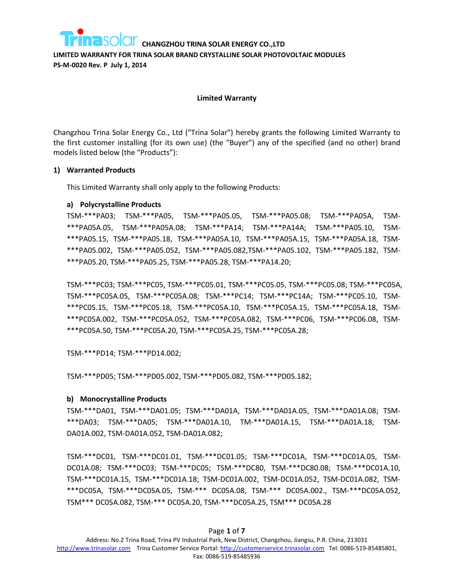**LIMITED WARRANTY FOR TRINA SOLAR BRAND CRYSTALLINE SOLAR PHOTOVOLTAIC MODULES PS-M-0020 Rev. P July 1, 2014**

#### **Limited Warranty**

Changzhou Trina Solar Energy Co., Ltd ("Trina Solar") hereby grants the following Limited Warranty to the first customer installing (for its own use) (the "Buyer") any of the specified (and no other) brand models listed below (the "Products"):

#### **1) Warranted Products**

This Limited Warranty shall only apply to the following Products:

**a) Polycrystalline Products**

TSM-\*\*\*PA03; TSM-\*\*\*PA05, TSM-\*\*\*PA05.05, TSM-\*\*\*PA05.08; TSM-\*\*\*PA05A, TSM- \*\*\*PA05A.05, TSM-\*\*\*PA05A.08; TSM-\*\*\*PA14; TSM-\*\*\*PA14A; TSM-\*\*\*PA05.10, TSM- \*\*\*PA05.15, TSM-\*\*\*PA05.18, TSM-\*\*\*PA05A.10, TSM-\*\*\*PA05A.15, TSM-\*\*\*PA05A.18, TSM- \*\*\*PA05.002, TSM-\*\*\*PA05.052, TSM-\*\*\*PA05.082,TSM-\*\*\*PA05.102, TSM-\*\*\*PA05.182, TSM- \*\*\*PA05.20, TSM-\*\*\*PA05.25, TSM-\*\*\*PA05.28, TSM-\*\*\*PA14.20;

TSM-\*\*\*PC03; TSM-\*\*\*PC05, TSM-\*\*\*PC05.01, TSM-\*\*\*PC05.05, TSM-\*\*\*PC05.08; TSM-\*\*\*PC05A, TSM-\*\*\*PC05A.05, TSM-\*\*\*PC05A.08; TSM-\*\*\*PC14; TSM-\*\*\*PC14A; TSM-\*\*\*PC05.10, TSM- \*\*\*PC05.15, TSM-\*\*\*PC05.18, TSM-\*\*\*PC05A.10, TSM-\*\*\*PC05A.15, TSM-\*\*\*PC05A.18, TSM- \*\*\*PC05A.002, TSM-\*\*\*PC05A.052, TSM-\*\*\*PC05A.082, TSM-\*\*\*PC06, TSM-\*\*\*PC06.08, TSM- \*\*\*PC05A.50, TSM-\*\*\*PC05A.20, TSM-\*\*\*PC05A.25, TSM-\*\*\*PC05A.28;

TSM-\*\*\*PD14; TSM-\*\*\*PD14.002;

TSM-\*\*\*PD05; TSM-\*\*\*PD05.002, TSM-\*\*\*PD05.082, TSM-\*\*\*PD05.182;

#### **b) Monocrystalline Products**

TSM-\*\*\*DA01, TSM-\*\*\*DA01.05; TSM-\*\*\*DA01A, TSM-\*\*\*DA01A.05, TSM-\*\*\*DA01A.08; TSM- \*\*\*DA03; TSM-\*\*\*DA05; TSM-\*\*\*DA01A.10, TM-\*\*\*DA01A.15, TSM-\*\*\*DA01A.18, TSM-DA01A.002, TSM-DA01A.052, TSM-DA01A.082;

TSM-\*\*\*DC01, TSM-\*\*\*DC01.01, TSM-\*\*\*DC01.05; TSM-\*\*\*DC01A, TSM-\*\*\*DC01A.05, TSM-DC01A.08; TSM-\*\*\*DC03; TSM-\*\*\*DC05; TSM-\*\*\*DC80, TSM-\*\*\*DC80.08; TSM-\*\*\*DC01A.10, TSM-\*\*\*DC01A.15, TSM-\*\*\*DC01A.18; TSM-DC01A.002, TSM-DC01A.052, TSM-DC01A.082, TSM- \*\*\*DC05A, TSM-\*\*\*DC05A.05, TSM-\*\*\* DC05A.08, TSM-\*\*\* DC05A.002., TSM-\*\*\*DC05A.052, TSM\*\*\* DC05A.082, TSM-\*\*\* DC05A.20, TSM-\*\*\*DC05A.25, TSM\*\*\* DC05A.28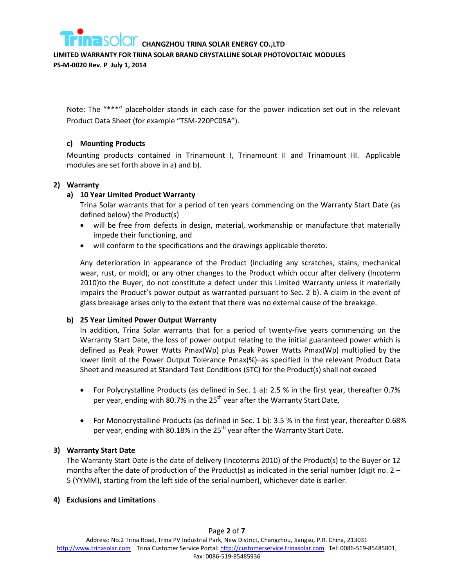

**LIMITED WARRANTY FOR TRINA SOLAR BRAND CRYSTALLINE SOLAR PHOTOVOLTAIC MODULES** 

**PS-M-0020 Rev. P July 1, 2014**

Note: The "\*\*\*" placeholder stands in each case for the power indication set out in the relevant Product Data Sheet (for example "TSM-220PC05A").

## **c) Mounting Products**

Mounting products contained in Trinamount I, Trinamount II and Trinamount III. Applicable modules are set forth above in a) and b).

#### **2) Warranty**

## **a) 10 Year Limited Product Warranty**

Trina Solar warrants that for a period of ten years commencing on the Warranty Start Date (as defined below) the Product(s)

- will be free from defects in design, material, workmanship or manufacture that materially impede their functioning, and
- will conform to the specifications and the drawings applicable thereto.

Any deterioration in appearance of the Product (including any scratches, stains, mechanical wear, rust, or mold), or any other changes to the Product which occur after delivery (Incoterm 2010)to the Buyer, do not constitute a defect under this Limited Warranty unless it materially impairs the Product's power output as warranted pursuant to Sec. 2 b). A claim in the event of glass breakage arises only to the extent that there was no external cause of the breakage.

#### **b) 25 Year Limited Power Output Warranty**

In addition, Trina Solar warrants that for a period of twenty-five years commencing on the Warranty Start Date, the loss of power output relating to the initial guaranteed power which is defined as Peak Power Watts Pmax(Wp) plus Peak Power Watts Pmax(Wp) multiplied by the lower limit of the Power Output Tolerance Pmax(%)–as specified in the relevant Product Data Sheet and measured at Standard Test Conditions (STC) for the Product(s) shall not exceed

- For Polycrystalline Products (as defined in Sec. 1 a): 2.5 % in the first year, thereafter 0.7% per year, ending with 80.7% in the  $25<sup>th</sup>$  year after the Warranty Start Date,
- For Monocrystalline Products (as defined in Sec. 1 b): 3.5 % in the first year, thereafter 0.68% per year, ending with 80.18% in the  $25<sup>th</sup>$  year after the Warranty Start Date.

#### **3) Warranty Start Date**

The Warranty Start Date is the date of delivery (Incoterms 2010) of the Product(s) to the Buyer or 12 months after the date of production of the Product(s) as indicated in the serial number (digit no.  $2 -$ 5 (YYMM), starting from the left side of the serial number), whichever date is earlier.

#### **4) Exclusions and Limitations**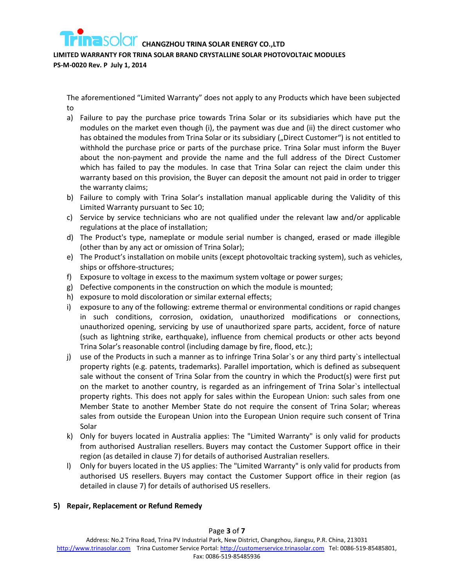#### **LIMITED WARRANTY FOR TRINA SOLAR BRAND CRYSTALLINE SOLAR PHOTOVOLTAIC MODULES**

**PS-M-0020 Rev. P July 1, 2014**

The aforementioned "Limited Warranty" does not apply to any Products which have been subjected to

- a) Failure to pay the purchase price towards Trina Solar or its subsidiaries which have put the modules on the market even though (i), the payment was due and (ii) the direct customer who has obtained the modules from Trina Solar or its subsidiary ("Direct Customer") is not entitled to withhold the purchase price or parts of the purchase price. Trina Solar must inform the Buyer about the non-payment and provide the name and the full address of the Direct Customer which has failed to pay the modules. In case that Trina Solar can reject the claim under this warranty based on this provision, the Buyer can deposit the amount not paid in order to trigger the warranty claims;
- b) Failure to comply with Trina Solar's installation manual applicable during the Validity of this Limited Warranty pursuant to Sec 10;
- c) Service by service technicians who are not qualified under the relevant law and/or applicable regulations at the place of installation;
- d) The Product's type, nameplate or module serial number is changed, erased or made illegible (other than by any act or omission of Trina Solar);
- e) The Product's installation on mobile units (except photovoltaic tracking system), such as vehicles, ships or offshore-structures;
- f) Exposure to voltage in excess to the maximum system voltage or power surges;
- g) Defective components in the construction on which the module is mounted;
- h) exposure to mold discoloration or similar external effects;
- i) exposure to any of the following: extreme thermal or environmental conditions or rapid changes in such conditions, corrosion, oxidation, unauthorized modifications or connections, unauthorized opening, servicing by use of unauthorized spare parts, accident, force of nature (such as lightning strike, earthquake), influence from chemical products or other acts beyond Trina Solar's reasonable control (including damage by fire, flood, etc.);
- j) use of the Products in such a manner as to infringe Trina Solar`s or any third party`s intellectual property rights (e.g. patents, trademarks). Parallel importation, which is defined as subsequent sale without the consent of Trina Solar from the country in which the Product(s) were first put on the market to another country, is regarded as an infringement of Trina Solar`s intellectual property rights. This does not apply for sales within the European Union: such sales from one Member State to another Member State do not require the consent of Trina Solar; whereas sales from outside the European Union into the European Union require such consent of Trina Solar
- k) Only for buyers located in Australia applies: The "Limited Warranty" is only valid for products from authorised Australian resellers. Buyers may contact the Customer Support office in their region (as detailed in clause 7) for details of authorised Australian resellers.
- l) Only for buyers located in the US applies: The "Limited Warranty" is only valid for products from authorised US resellers. Buyers may contact the Customer Support office in their region (as detailed in clause 7) for details of authorised US resellers.

#### **5) Repair, Replacement or Refund Remedy**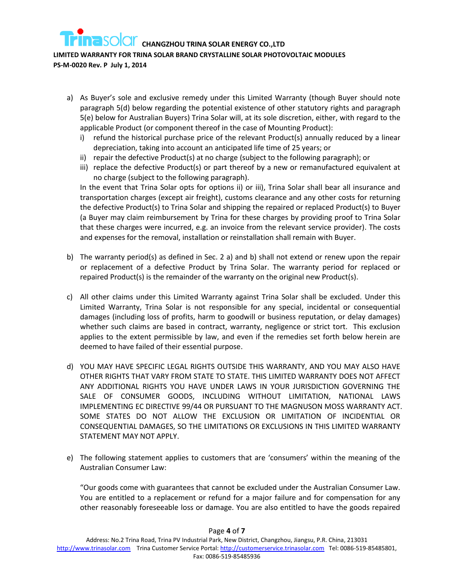## **LIMITED WARRANTY FOR TRINA SOLAR BRAND CRYSTALLINE SOLAR PHOTOVOLTAIC MODULES**

**PS-M-0020 Rev. P July 1, 2014**

- a) As Buyer's sole and exclusive remedy under this Limited Warranty (though Buyer should note paragraph 5(d) below regarding the potential existence of other statutory rights and paragraph 5(e) below for Australian Buyers) Trina Solar will, at its sole discretion, either, with regard to the applicable Product (or component thereof in the case of Mounting Product):
	- i) refund the historical purchase price of the relevant Product(s) annually reduced by a linear depreciation, taking into account an anticipated life time of 25 years; or
	- ii) repair the defective Product(s) at no charge (subject to the following paragraph); or
	- iii) replace the defective Product(s) or part thereof by a new or remanufactured equivalent at no charge (subject to the following paragraph).

<span id="page-3-1"></span><span id="page-3-0"></span>In the event that Trina Solar opts for options [ii\)](#page-3-0) or [iii\),](#page-3-1) Trina Solar shall bear all insurance and transportation charges (except air freight), customs clearance and any other costs for returning the defective Product(s) to Trina Solar and shipping the repaired or replaced Product(s) to Buyer (a Buyer may claim reimbursement by Trina for these charges by providing proof to Trina Solar that these charges were incurred, e.g. an invoice from the relevant service provider). The costs and expenses for the removal, installation or reinstallation shall remain with Buyer.

- b) The warranty period(s) as defined in Sec. 2 a) and b) shall not extend or renew upon the repair or replacement of a defective Product by Trina Solar. The warranty period for replaced or repaired Product(s) is the remainder of the warranty on the original new Product(s).
- c) All other claims under this Limited Warranty against Trina Solar shall be excluded. Under this Limited Warranty, Trina Solar is not responsible for any special, incidental or consequential damages (including loss of profits, harm to goodwill or business reputation, or delay damages) whether such claims are based in contract, warranty, negligence or strict tort. This exclusion applies to the extent permissible by law, and even if the remedies set forth below herein are deemed to have failed of their essential purpose.
- d) YOU MAY HAVE SPECIFIC LEGAL RIGHTS OUTSIDE THIS WARRANTY, AND YOU MAY ALSO HAVE OTHER RIGHTS THAT VARY FROM STATE TO STATE. THIS LIMITED WARRANTY DOES NOT AFFECT ANY ADDITIONAL RIGHTS YOU HAVE UNDER LAWS IN YOUR JURISDICTION GOVERNING THE SALE OF CONSUMER GOODS, INCLUDING WITHOUT LIMITATION, NATIONAL LAWS IMPLEMENTING EC DIRECTIVE 99/44 OR PURSUANT TO THE MAGNUSON MOSS WARRANTY ACT. SOME STATES DO NOT ALLOW THE EXCLUSION OR LIMITATION OF INCIDENTIAL OR CONSEQUENTIAL DAMAGES, SO THE LIMITATIONS OR EXCLUSIONS IN THIS LIMITED WARRANTY STATEMENT MAY NOT APPLY.
- e) The following statement applies to customers that are 'consumers' within the meaning of the Australian Consumer Law:

"Our goods come with guarantees that cannot be excluded under the Australian Consumer Law. You are entitled to a replacement or refund for a major failure and for compensation for any other reasonably foreseeable loss or damage. You are also entitled to have the goods repaired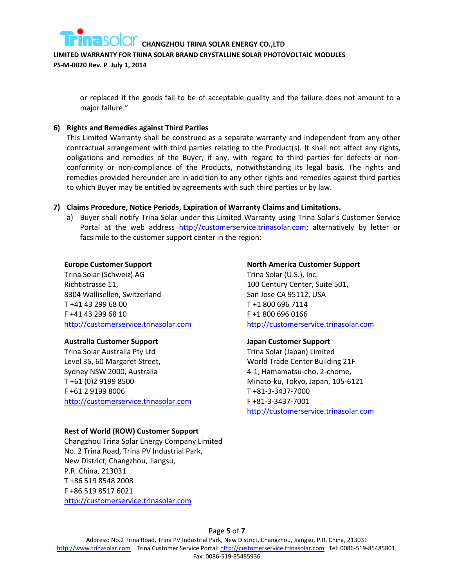

**LIMITED WARRANTY FOR TRINA SOLAR BRAND CRYSTALLINE SOLAR PHOTOVOLTAIC MODULES** 

**PS-M-0020 Rev. P July 1, 2014**

or replaced if the goods fail to be of acceptable quality and the failure does not amount to a major failure."

#### **6) Rights and Remedies against Third Parties**

This Limited Warranty shall be construed as a separate warranty and independent from any other contractual arrangement with third parties relating to the Product(s). It shall not affect any rights, obligations and remedies of the Buyer, if any, with regard to third parties for defects or nonconformity or non-compliance of the Products, notwithstanding its legal basis. The rights and remedies provided hereunder are in addition to any other rights and remedies against third parties to which Buyer may be entitled by agreements with such third parties or by law.

#### **7) Claims Procedure, Notice Periods, Expiration of Warranty Claims and Limitations.**

a) Buyer shall notify Trina Solar under this Limited Warranty using Trina Solar's Customer Service Portal at the web address [http://customerservice.trinasolar.com;](http://customerservice.trinasolar.com/) alternatively by letter or facsimile to the customer support center in the region:

#### **Europe Customer Support**

Trina Solar (Schweiz) AG Richtistrasse 11, 8304 Wallisellen, Switzerland T +41 43 299 68 00 F +41 43 299 68 10 [http://customerservice.trinasolar.com](http://customerservice.trinasolar.com/)

#### **Australia Customer Support**

Trina Solar Australia Pty Ltd Level 35, 60 Margaret Street, Sydney NSW 2000, Australia T +61 (0)2 9199 8500 F +61 2 9199 8006 [http://customerservice.trinasolar.com](http://customerservice.trinasolar.com/)

#### **Rest of World (ROW) Customer Support**

Changzhou Trina Solar Energy Company Limited No. 2 Trina Road, Trina PV Industrial Park, New District, Changzhou, Jiangsu, P.R. China, 213031 T +86 519 8548 2008 F +86 519 8517 6021 [http://customerservice.trinasolar.com](http://customerservice.trinasolar.com/)

#### **North America Customer Support**

Trina Solar (U.S.), Inc. 100 Century Center, Suite 501, San Jose CA 95112, USA T +1 800 696 7114 F +1 800 696 0166 [http://customerservice.trinasolar.com](http://customerservice.trinasolar.com/)

#### **Japan Customer Support**

Trina Solar (Japan) Limited World Trade Center Building 21F 4-1, Hamamatsu-cho, 2-chome, Minato-ku, Tokyo, Japan, 105-6121 T +81-3-3437-7000 F +81-3-3437-7001 [http://customerservice.trinasolar.com](http://customerservice.trinasolar.com/)

Page **5** of **7**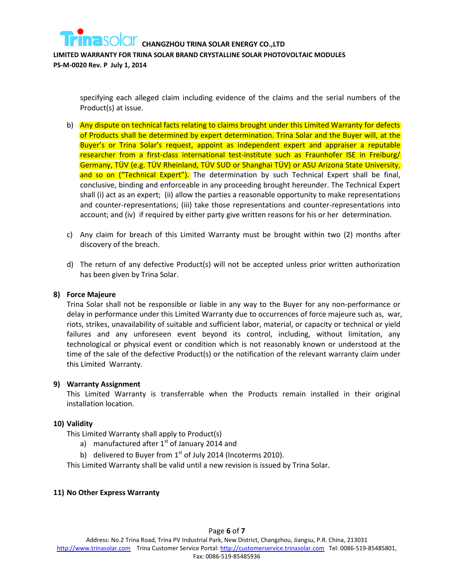

specifying each alleged claim including evidence of the claims and the serial numbers of the Product(s) at issue.

- b) Any dispute on technical facts relating to claims brought under this Limited Warranty for defects of Products shall be determined by expert determination. Trina Solar and the Buyer will, at the Buyer's or Trina Solar's request, appoint as independent expert and appraiser a reputable researcher from a first-class international test-institute such as Fraunhofer ISE in Freiburg/ Germany, TÜV (e.g. TÜV Rheinland, TÜV SUD or Shanghai TÜV) or ASU Arizona State University, and so on ("Technical Expert"). The determination by such Technical Expert shall be final, conclusive, binding and enforceable in any proceeding brought hereunder. The Technical Expert shall (i) act as an expert; (ii) allow the parties a reasonable opportunity to make representations and counter-representations; (iii) take those representations and counter-representations into account; and (iv) if required by either party give written reasons for his or her determination.
- c) Any claim for breach of this Limited Warranty must be brought within two (2) months after discovery of the breach.
- d) The return of any defective Product(s) will not be accepted unless prior written authorization has been given by Trina Solar.

#### **8) Force Majeure**

Trina Solar shall not be responsible or liable in any way to the Buyer for any non-performance or delay in performance under this Limited Warranty due to occurrences of force majeure such as, war, riots, strikes, unavailability of suitable and sufficient labor, material, or capacity or technical or yield failures and any unforeseen event beyond its control, including, without limitation, any technological or physical event or condition which is not reasonably known or understood at the time of the sale of the defective Product(s) or the notification of the relevant warranty claim under this Limited Warranty.

#### **9) Warranty Assignment**

This Limited Warranty is transferrable when the Products remain installed in their original installation location.

#### **10) Validity**

This Limited Warranty shall apply to Product(s)

- a) manufactured after  $1<sup>st</sup>$  of January 2014 and
- b) delivered to Buyer from  $1<sup>st</sup>$  of July 2014 (Incoterms 2010).

This Limited Warranty shall be valid until a new revision is issued by Trina Solar.

#### **11) No Other Express Warranty**